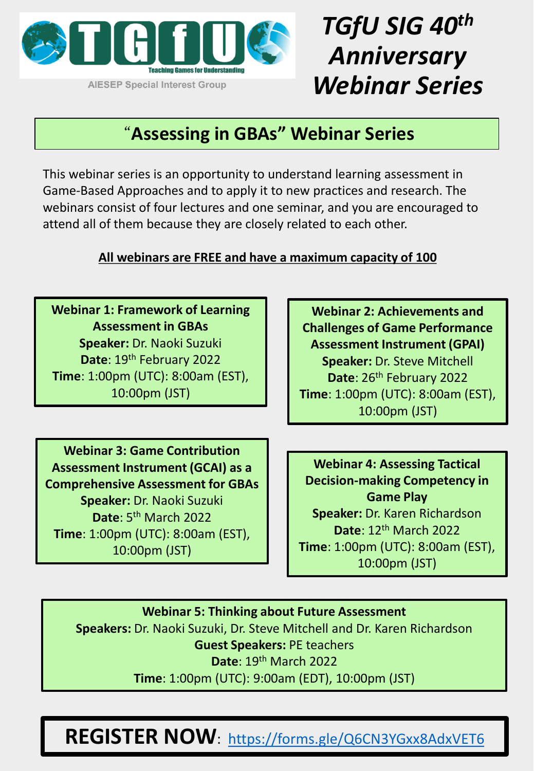

# *TGfU SIG 40th Anniversary Webinar Series*

#### "**Assessing in GBAs" Webinar Series**

This webinar series is an opportunity to understand learning assessment in Game-Based Approaches and to apply it to new practices and research. The webinars consist of four lectures and one seminar, and you are encouraged to attend all of them because they are closely related to each other.

#### **All webinars are FREE and have a maximum capacity of 100**

**Webinar 1: Framework of Learning Assessment in GBAs Speaker:** Dr. Naoki Suzuki **Date**: 19th February 2022 **Time**: 1:00pm (UTC): 8:00am (EST), 10:00pm (JST)

**Webinar 3: Game Contribution Assessment Instrument (GCAI) as a Comprehensive Assessment for GBAs Speaker:** Dr. Naoki Suzuki **Date**: 5<sup>th</sup> March 2022 **Time**: 1:00pm (UTC): 8:00am (EST), 10:00pm (JST)

**Webinar 2: Achievements and Challenges of Game Performance Assessment Instrument (GPAI) Speaker:** Dr. Steve Mitchell Date: 26<sup>th</sup> February 2022 **Time**: 1:00pm (UTC): 8:00am (EST), 10:00pm (JST)

**Webinar 4: Assessing Tactical Decision-making Competency in Game Play Speaker:** Dr. Karen Richardson **Date**: 12th March 2022 **Time**: 1:00pm (UTC): 8:00am (EST), 10:00pm (JST)

**Webinar 5: Thinking about Future Assessment Speakers:** Dr. Naoki Suzuki, Dr. Steve Mitchell and Dr. Karen Richardson **Guest Speakers:** PE teachers **Date**: 19th March 2022 **Time**: 1:00pm (UTC): 9:00am (EDT), 10:00pm (JST)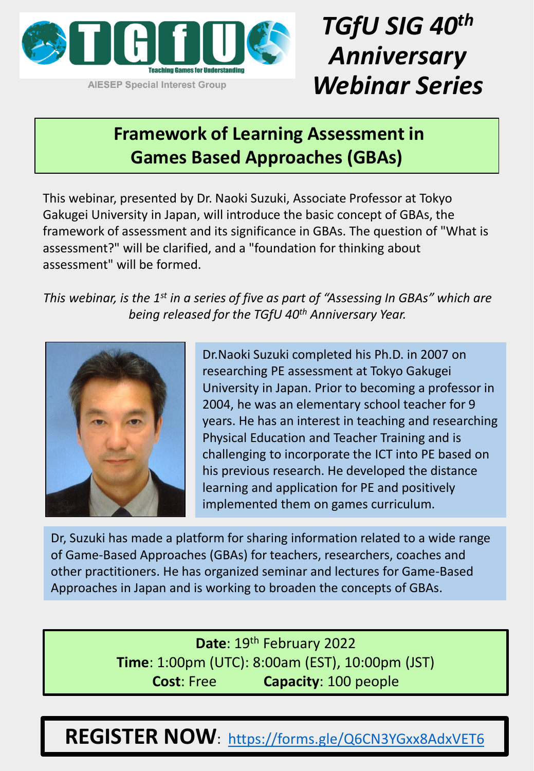

## *TGfU SIG 40th Anniversary Webinar Series*

### **Framework of Learning Assessment in Games Based Approaches (GBAs)**

This webinar, presented by Dr. Naoki Suzuki, Associate Professor at Tokyo Gakugei University in Japan, will introduce the basic concept of GBAs, the framework of assessment and its significance in GBAs. The question of "What is assessment?" will be clarified, and a "foundation for thinking about assessment" will be formed.

*This webinar, is the 1st in a series of five as part of "Assessing In GBAs" which are being released for the TGfU 40th Anniversary Year.* 



Dr.Naoki Suzuki completed his Ph.D. in 2007 on researching PE assessment at Tokyo Gakugei University in Japan. Prior to becoming a professor in 2004, he was an elementary school teacher for 9 years. He has an interest in teaching and researching Physical Education and Teacher Training and is challenging to incorporate the ICT into PE based on his previous research. He developed the distance learning and application for PE and positively implemented them on games curriculum.

Dr, Suzuki has made a platform for sharing information related to a wide range of Game-Based Approaches (GBAs) for teachers, researchers, coaches and other practitioners. He has organized seminar and lectures for Game-Based Approaches in Japan and is working to broaden the concepts of GBAs.

> **Date**: 19th February 2022 **Time**: 1:00pm (UTC): 8:00am (EST), 10:00pm (JST) **Cost**: Free **Capacity**: 100 people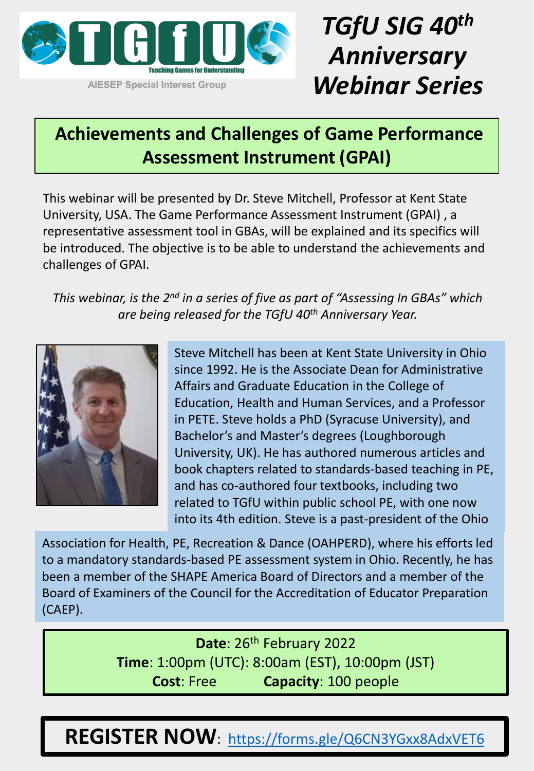

# *TGfU SIG 40th Anniversary Webinar Series*

### **Achievements and Challenges of Game Performance Assessment Instrument (GPAI)**

This webinar will be presented by Dr. Steve Mitchell, Professor at Kent State University, USA. The Game Performance Assessment Instrument (GPAI) , a representative assessment tool in GBAs, will be explained and its specifics will be introduced. The objective is to be able to understand the achievements and challenges of GPAI.

*This webinar, is the 2nd in a series of five as part of "Assessing In GBAs" which are being released for the TGfU 40th Anniversary Year.* 



Steve Mitchell has been at Kent State University in Ohio since 1992. He is the Associate Dean for Administrative Affairs and Graduate Education in the College of Education, Health and Human Services, and a Professor in PETE. Steve holds a PhD (Syracuse University), and Bachelor's and Master's degrees (Loughborough University, UK). He has authored numerous articles and book chapters related to standards-based teaching in PE, and has co-authored four textbooks, including two related to TGfU within public school PE, with one now into its 4th edition. Steve is a past-president of the Ohio

Association for Health, PE, Recreation & Dance (OAHPERD), where his efforts led to a mandatory standards-based PE assessment system in Ohio. Recently, he has been a member of the SHAPE America Board of Directors and a member of the Board of Examiners of the Council for the Accreditation of Educator Preparation (CAEP).

> **Date**: 26th February 2022 **Time**: 1:00pm (UTC): 8:00am (EST), 10:00pm (JST) **Cost**: Free **Capacity**: 100 people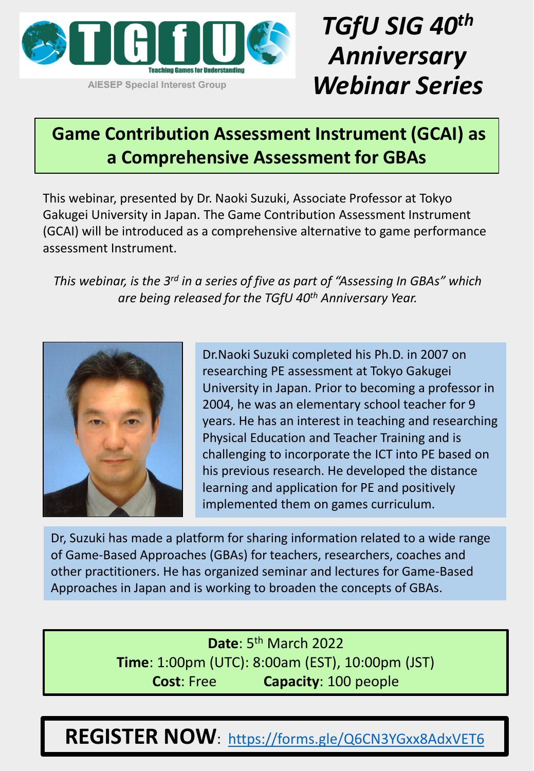

# *TGfU SIG 40th Anniversary Webinar Series*

### **Game Contribution Assessment Instrument (GCAI) as a Comprehensive Assessment for GBAs**

This webinar, presented by Dr. Naoki Suzuki, Associate Professor at Tokyo Gakugei University in Japan. The Game Contribution Assessment Instrument (GCAI) will be introduced as a comprehensive alternative to game performance assessment Instrument.

*This webinar, is the 3rd in a series of five as part of "Assessing In GBAs" which are being released for the TGfU 40th Anniversary Year.* 



Dr.Naoki Suzuki completed his Ph.D. in 2007 on researching PE assessment at Tokyo Gakugei University in Japan. Prior to becoming a professor in 2004, he was an elementary school teacher for 9 years. He has an interest in teaching and researching Physical Education and Teacher Training and is challenging to incorporate the ICT into PE based on his previous research. He developed the distance learning and application for PE and positively implemented them on games curriculum.

Dr, Suzuki has made a platform for sharing information related to a wide range of Game-Based Approaches (GBAs) for teachers, researchers, coaches and other practitioners. He has organized seminar and lectures for Game-Based Approaches in Japan and is working to broaden the concepts of GBAs.

> Date: 5<sup>th</sup> March 2022 **Time**: 1:00pm (UTC): 8:00am (EST), 10:00pm (JST) **Cost**: Free **Capacity**: 100 people

REGISTER NOW: <https://forms.gle/Q6CN3YGxx8AdxVET6>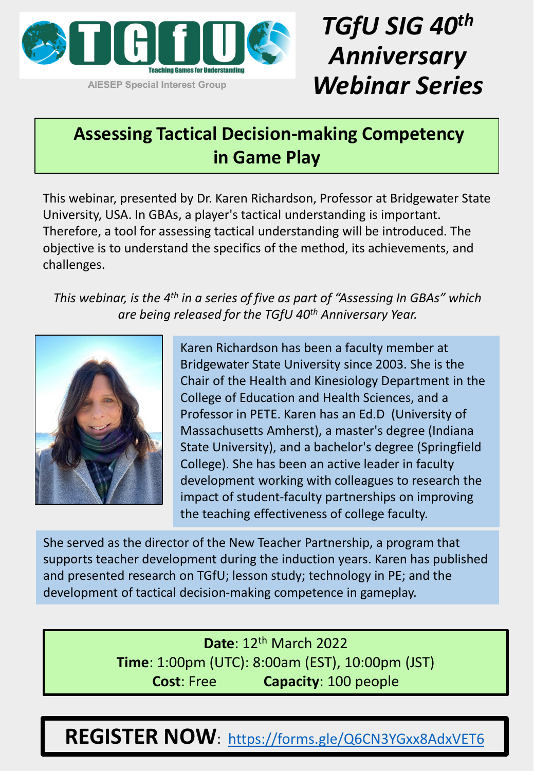

## *TGfU SIG 40th Anniversary Webinar Series*

### **Assessing Tactical Decision-making Competency in Game Play**

This webinar, presented by Dr. Karen Richardson, Professor at Bridgewater State University, USA. In GBAs, a player's tactical understanding is important. Therefore, a tool for assessing tactical understanding will be introduced. The objective is to understand the specifics of the method, its achievements, and challenges.

*This webinar, is the 4th in a series of five as part of "Assessing In GBAs" which are being released for the TGfU 40th Anniversary Year.* 



Karen Richardson has been a faculty member at Bridgewater State University since 2003. She is the Chair of the Health and Kinesiology Department in the College of Education and Health Sciences, and a Professor in PETE. Karen has an Ed.D (University of Massachusetts Amherst), a master's degree (Indiana State University), and a bachelor's degree (Springfield College). She has been an active leader in faculty development working with colleagues to research the impact of student-faculty partnerships on improving the teaching effectiveness of college faculty.

She served as the director of the New Teacher Partnership, a program that supports teacher development during the induction years. Karen has published and presented research on TGfU; lesson study; technology in PE; and the development of tactical decision-making competence in gameplay.

> **Date**: 12th March 2022 **Time**: 1:00pm (UTC): 8:00am (EST), 10:00pm (JST) **Cost**: Free **Capacity**: 100 people